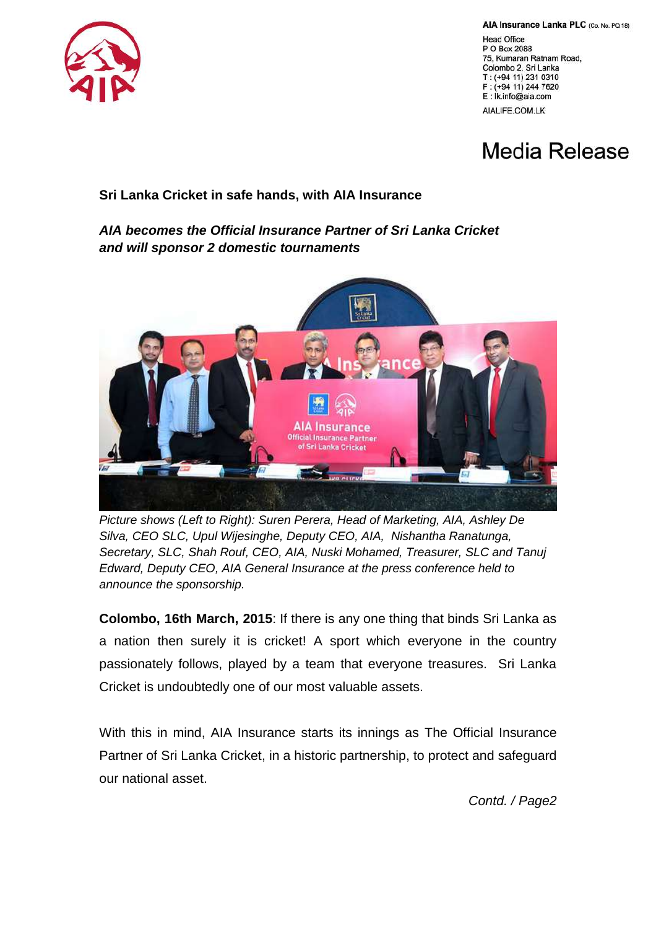

AIA Insurance Lanka PLC (Co. No. PQ 18)

**Head Office** P O Box 2088 75, Kumaran Ratnam Road, Colombo 2, Sri Lanka T: (+94 11) 231 0310 F: (+94 11) 244 7620 E: Ik.info@aia.com AIALIFE.COM.LK

## Media Release

## **Sri Lanka Cricket in safe hands, with AIA Insurance**

## *AIA becomes the Official Insurance Partner of Sri Lanka Cricket and will sponsor 2 domestic tournaments*



*Picture shows (Left to Right): Suren Perera, Head of Marketing, AIA, Ashley De Silva, CEO SLC, Upul Wijesinghe, Deputy CEO, AIA, Nishantha Ranatunga, Secretary, SLC, Shah Rouf, CEO, AIA, Nuski Mohamed, Treasurer, SLC and Tanuj Edward, Deputy CEO, AIA General Insurance at the press conference held to announce the sponsorship.* 

**Colombo, 16th March, 2015**: If there is any one thing that binds Sri Lanka as a nation then surely it is cricket! A sport which everyone in the country passionately follows, played by a team that everyone treasures. Sri Lanka Cricket is undoubtedly one of our most valuable assets.

With this in mind, AIA Insurance starts its innings as The Official Insurance Partner of Sri Lanka Cricket, in a historic partnership, to protect and safeguard our national asset.

*Contd. / Page2*